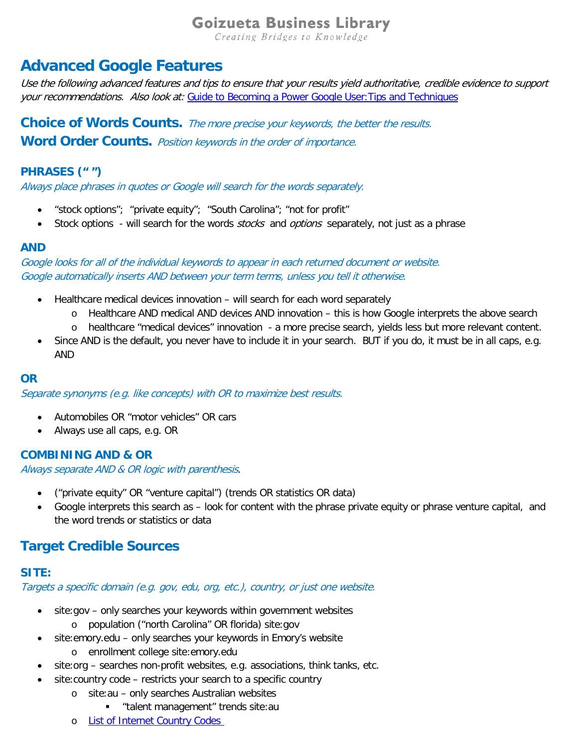# **Goizueta Business Library**

Creating Bridges to Knowledge

# **Advanced Google Features**

Use the following advanced features and tips to ensure that your results yield authoritative, credible evidence to support your recommendations. Also look at: Guide to Becoming a Power Google User: Tips and Techniques

**Choice of Words Counts.** The more precise your keywords, the better the results. **Word Order Counts.** Position keywords in the order of importance.

#### **PHRASES (" ")**

Always place phrases in quotes or Google will search for the words separately.

- "stock options"; "private equity"; "South Carolina"; "not for profit"
- Stock options will search for the words *stocks* and *options* separately, not just as a phrase

#### **AND**

Google looks for all of the individual keywords to appear in each returned document or website. Google automatically inserts AND between your term terms, unless you tell it otherwise.

- Healthcare medical devices innovation will search for each word separately
	- o Healthcare AND medical AND devices AND innovation this is how Google interprets the above search
	- o healthcare "medical devices" innovation a more precise search, yields less but more relevant content.
- Since AND is the default, you never have to include it in your search. BUT if you do, it must be in all caps, e.g. AND

#### **OR**

Separate synonyms (e.g. like concepts) with OR to maximize best results.

- Automobiles OR "motor vehicles" OR cars
- Always use all caps, e.g. OR

#### **COMBINING AND & OR**

Always separate AND & OR logic with parenthesis.

- ("private equity" OR "venture capital") (trends OR statistics OR data)
- Google interprets this search as look for content with the phrase private equity or phrase venture capital, and the word trends or statistics or data

### **Target Credible Sources**

#### **SITE:**

Targets a specific domain (e.g. gov, edu, org, etc.), country, or just one website.

- site:gov only searches your keywords within government websites o population ("north Carolina" OR florida) site:gov
- site: emory.edu only searches your keywords in Emory's website o enrollment college site:emory.edu
- site:org searches non-profit websites, e.g. associations, think tanks, etc.
- site: country code restricts your search to a specific country
	- o site:au only searches Australian websites
		- "talent management" trends site:au
	- o [List of Internet Country Codes](https://en.wikipedia.org/wiki/List_of_Internet_top-level_domains)